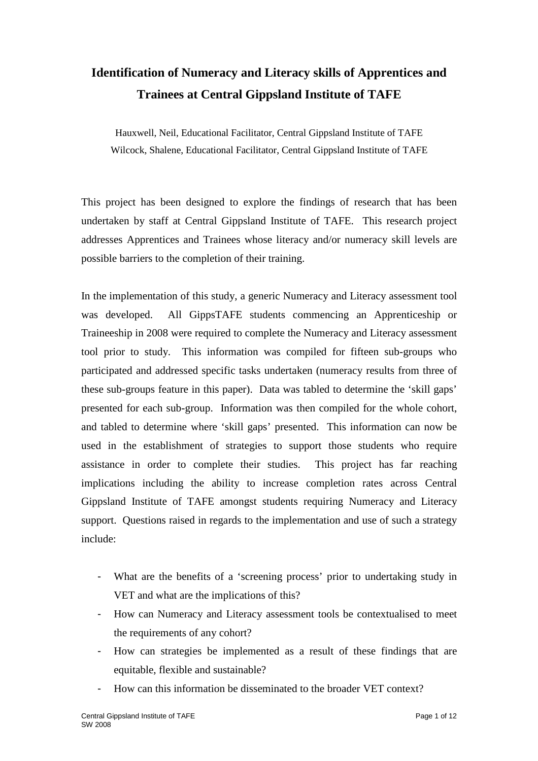# **Identification of Numeracy and Literacy skills of Apprentices and Trainees at Central Gippsland Institute of TAFE**

Hauxwell, Neil, Educational Facilitator, Central Gippsland Institute of TAFE Wilcock, Shalene, Educational Facilitator, Central Gippsland Institute of TAFE

This project has been designed to explore the findings of research that has been undertaken by staff at Central Gippsland Institute of TAFE. This research project addresses Apprentices and Trainees whose literacy and/or numeracy skill levels are possible barriers to the completion of their training.

In the implementation of this study, a generic Numeracy and Literacy assessment tool was developed. All GippsTAFE students commencing an Apprenticeship or Traineeship in 2008 were required to complete the Numeracy and Literacy assessment tool prior to study. This information was compiled for fifteen sub-groups who participated and addressed specific tasks undertaken (numeracy results from three of these sub-groups feature in this paper). Data was tabled to determine the 'skill gaps' presented for each sub-group. Information was then compiled for the whole cohort, and tabled to determine where 'skill gaps' presented. This information can now be used in the establishment of strategies to support those students who require assistance in order to complete their studies. This project has far reaching implications including the ability to increase completion rates across Central Gippsland Institute of TAFE amongst students requiring Numeracy and Literacy support. Questions raised in regards to the implementation and use of such a strategy include:

- What are the benefits of a 'screening process' prior to undertaking study in VET and what are the implications of this?
- How can Numeracy and Literacy assessment tools be contextualised to meet the requirements of any cohort?
- How can strategies be implemented as a result of these findings that are equitable, flexible and sustainable?
- How can this information be disseminated to the broader VET context?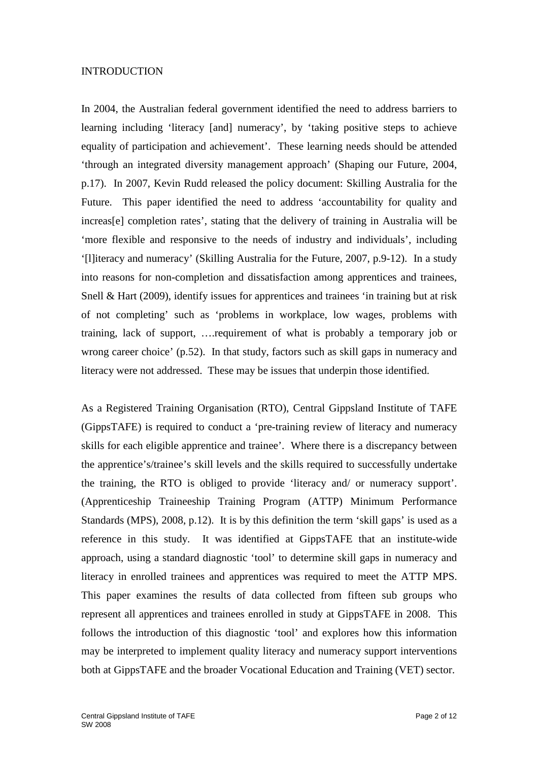### INTRODUCTION

In 2004, the Australian federal government identified the need to address barriers to learning including 'literacy [and] numeracy', by 'taking positive steps to achieve equality of participation and achievement'. These learning needs should be attended 'through an integrated diversity management approach' (Shaping our Future, 2004, p.17). In 2007, Kevin Rudd released the policy document: Skilling Australia for the Future. This paper identified the need to address 'accountability for quality and increas[e] completion rates', stating that the delivery of training in Australia will be 'more flexible and responsive to the needs of industry and individuals', including '[l]iteracy and numeracy' (Skilling Australia for the Future, 2007, p.9-12). In a study into reasons for non-completion and dissatisfaction among apprentices and trainees, Snell & Hart (2009), identify issues for apprentices and trainees 'in training but at risk of not completing' such as 'problems in workplace, low wages, problems with training, lack of support, ….requirement of what is probably a temporary job or wrong career choice' (p.52). In that study, factors such as skill gaps in numeracy and literacy were not addressed. These may be issues that underpin those identified.

As a Registered Training Organisation (RTO), Central Gippsland Institute of TAFE (GippsTAFE) is required to conduct a 'pre-training review of literacy and numeracy skills for each eligible apprentice and trainee'. Where there is a discrepancy between the apprentice's/trainee's skill levels and the skills required to successfully undertake the training, the RTO is obliged to provide 'literacy and/ or numeracy support'. (Apprenticeship Traineeship Training Program (ATTP) Minimum Performance Standards (MPS), 2008, p.12). It is by this definition the term 'skill gaps' is used as a reference in this study. It was identified at GippsTAFE that an institute-wide approach, using a standard diagnostic 'tool' to determine skill gaps in numeracy and literacy in enrolled trainees and apprentices was required to meet the ATTP MPS. This paper examines the results of data collected from fifteen sub groups who represent all apprentices and trainees enrolled in study at GippsTAFE in 2008. This follows the introduction of this diagnostic 'tool' and explores how this information may be interpreted to implement quality literacy and numeracy support interventions both at GippsTAFE and the broader Vocational Education and Training (VET) sector.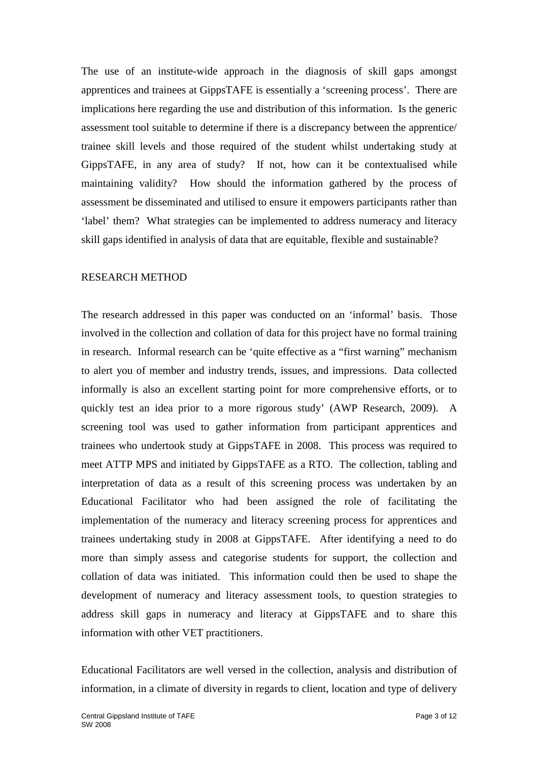The use of an institute-wide approach in the diagnosis of skill gaps amongst apprentices and trainees at GippsTAFE is essentially a 'screening process'. There are implications here regarding the use and distribution of this information. Is the generic assessment tool suitable to determine if there is a discrepancy between the apprentice/ trainee skill levels and those required of the student whilst undertaking study at GippsTAFE, in any area of study? If not, how can it be contextualised while maintaining validity? How should the information gathered by the process of assessment be disseminated and utilised to ensure it empowers participants rather than 'label' them? What strategies can be implemented to address numeracy and literacy skill gaps identified in analysis of data that are equitable, flexible and sustainable?

### RESEARCH METHOD

The research addressed in this paper was conducted on an 'informal' basis. Those involved in the collection and collation of data for this project have no formal training in research. Informal research can be 'quite effective as a "first warning" mechanism to alert you of member and industry trends, issues, and impressions. Data collected informally is also an excellent starting point for more comprehensive efforts, or to quickly test an idea prior to a more rigorous study' (AWP Research, 2009). A screening tool was used to gather information from participant apprentices and trainees who undertook study at GippsTAFE in 2008. This process was required to meet ATTP MPS and initiated by GippsTAFE as a RTO. The collection, tabling and interpretation of data as a result of this screening process was undertaken by an Educational Facilitator who had been assigned the role of facilitating the implementation of the numeracy and literacy screening process for apprentices and trainees undertaking study in 2008 at GippsTAFE. After identifying a need to do more than simply assess and categorise students for support, the collection and collation of data was initiated. This information could then be used to shape the development of numeracy and literacy assessment tools, to question strategies to address skill gaps in numeracy and literacy at GippsTAFE and to share this information with other VET practitioners.

Educational Facilitators are well versed in the collection, analysis and distribution of information, in a climate of diversity in regards to client, location and type of delivery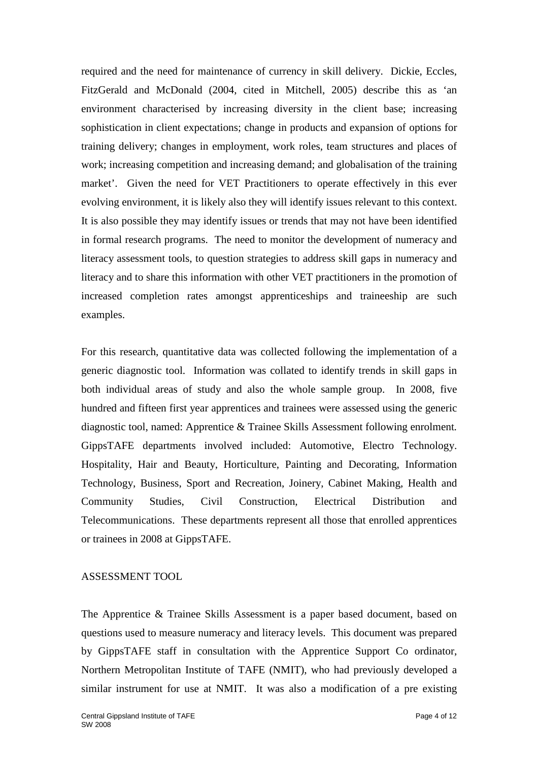required and the need for maintenance of currency in skill delivery. Dickie, Eccles, FitzGerald and McDonald (2004, cited in Mitchell, 2005) describe this as 'an environment characterised by increasing diversity in the client base; increasing sophistication in client expectations; change in products and expansion of options for training delivery; changes in employment, work roles, team structures and places of work; increasing competition and increasing demand; and globalisation of the training market'. Given the need for VET Practitioners to operate effectively in this ever evolving environment, it is likely also they will identify issues relevant to this context. It is also possible they may identify issues or trends that may not have been identified in formal research programs. The need to monitor the development of numeracy and literacy assessment tools, to question strategies to address skill gaps in numeracy and literacy and to share this information with other VET practitioners in the promotion of increased completion rates amongst apprenticeships and traineeship are such examples.

For this research, quantitative data was collected following the implementation of a generic diagnostic tool. Information was collated to identify trends in skill gaps in both individual areas of study and also the whole sample group. In 2008, five hundred and fifteen first year apprentices and trainees were assessed using the generic diagnostic tool, named: Apprentice & Trainee Skills Assessment following enrolment*.* GippsTAFE departments involved included: Automotive, Electro Technology. Hospitality, Hair and Beauty, Horticulture, Painting and Decorating, Information Technology, Business, Sport and Recreation, Joinery, Cabinet Making, Health and Community Studies, Civil Construction, Electrical Distribution and Telecommunications. These departments represent all those that enrolled apprentices or trainees in 2008 at GippsTAFE.

## ASSESSMENT TOOL

The Apprentice & Trainee Skills Assessment is a paper based document, based on questions used to measure numeracy and literacy levels. This document was prepared by GippsTAFE staff in consultation with the Apprentice Support Co ordinator, Northern Metropolitan Institute of TAFE (NMIT), who had previously developed a similar instrument for use at NMIT. It was also a modification of a pre existing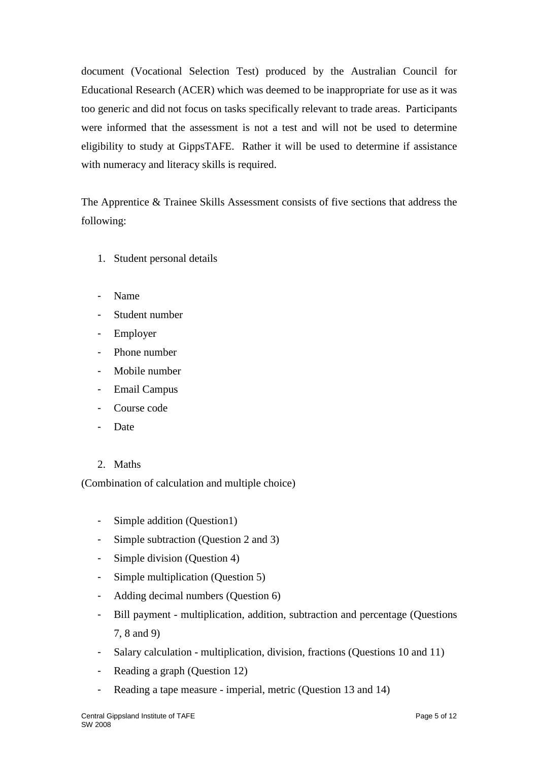document (Vocational Selection Test) produced by the Australian Council for Educational Research (ACER) which was deemed to be inappropriate for use as it was too generic and did not focus on tasks specifically relevant to trade areas. Participants were informed that the assessment is not a test and will not be used to determine eligibility to study at GippsTAFE. Rather it will be used to determine if assistance with numeracy and literacy skills is required.

The Apprentice & Trainee Skills Assessment consists of five sections that address the following:

- 1. Student personal details
- Name
- Student number
- Employer
- Phone number
- Mobile number
- Email Campus
- Course code
- **Date**
- 2. Maths

(Combination of calculation and multiple choice)

- Simple addition (Question1)
- Simple subtraction (Question 2 and 3)
- Simple division (Question 4)
- Simple multiplication (Question 5)
- Adding decimal numbers (Question 6)
- Bill payment multiplication, addition, subtraction and percentage (Questions 7, 8 and 9)
- Salary calculation multiplication, division, fractions (Questions 10 and 11)
- Reading a graph (Question 12)
- Reading a tape measure imperial, metric (Question 13 and 14)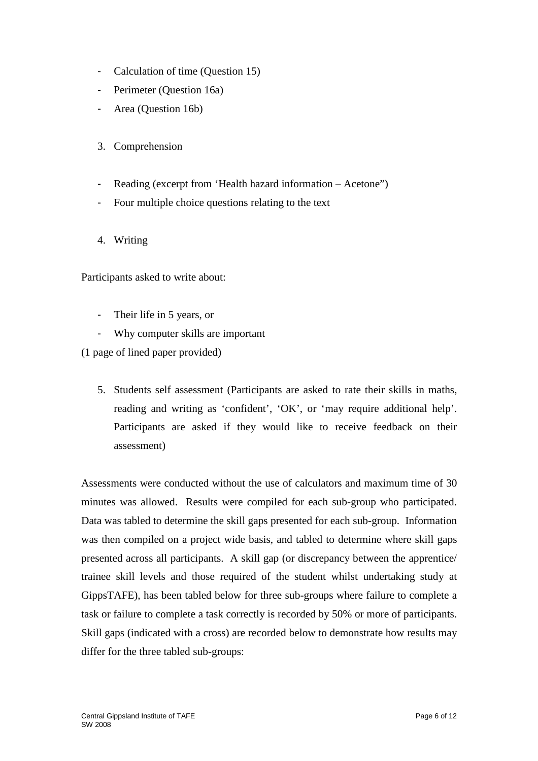- Calculation of time (Question 15)
- Perimeter (Question 16a)
- Area (Question 16b)
- 3. Comprehension
- Reading (excerpt from 'Health hazard information Acetone")
- Four multiple choice questions relating to the text
- 4. Writing

Participants asked to write about:

- Their life in 5 years, or
- Why computer skills are important

(1 page of lined paper provided)

5. Students self assessment (Participants are asked to rate their skills in maths, reading and writing as 'confident', 'OK', or 'may require additional help'. Participants are asked if they would like to receive feedback on their assessment)

Assessments were conducted without the use of calculators and maximum time of 30 minutes was allowed. Results were compiled for each sub-group who participated. Data was tabled to determine the skill gaps presented for each sub-group. Information was then compiled on a project wide basis, and tabled to determine where skill gaps presented across all participants. A skill gap (or discrepancy between the apprentice/ trainee skill levels and those required of the student whilst undertaking study at GippsTAFE), has been tabled below for three sub-groups where failure to complete a task or failure to complete a task correctly is recorded by 50% or more of participants. Skill gaps (indicated with a cross) are recorded below to demonstrate how results may differ for the three tabled sub-groups: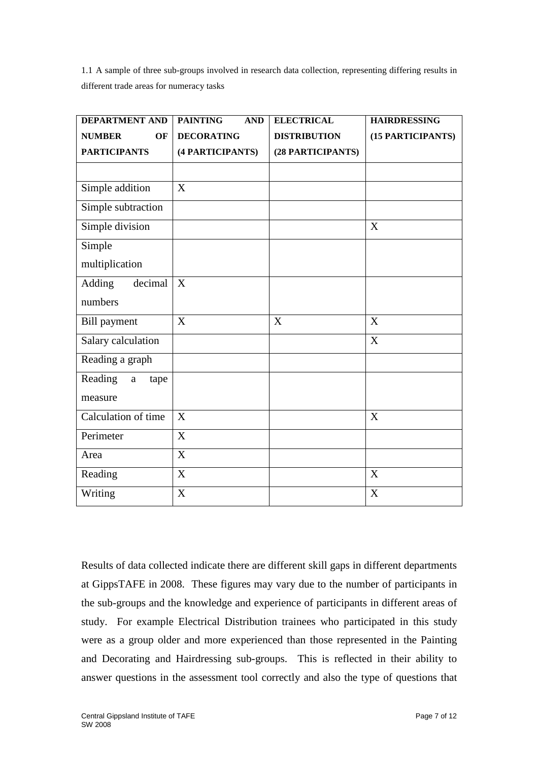1.1 A sample of three sub-groups involved in research data collection, representing differing results in different trade areas for numeracy tasks

| <b>DEPARTMENT AND</b>       | <b>PAINTING</b><br><b>AND</b> | <b>ELECTRICAL</b>         | <b>HAIRDRESSING</b>       |
|-----------------------------|-------------------------------|---------------------------|---------------------------|
| <b>NUMBER</b><br>OF         | <b>DECORATING</b>             | <b>DISTRIBUTION</b>       | (15 PARTICIPANTS)         |
| <b>PARTICIPANTS</b>         | (4 PARTICIPANTS)              | (28 PARTICIPANTS)         |                           |
|                             |                               |                           |                           |
| Simple addition             | X                             |                           |                           |
| Simple subtraction          |                               |                           |                           |
| Simple division             |                               |                           | $\boldsymbol{\mathrm{X}}$ |
| Simple                      |                               |                           |                           |
| multiplication              |                               |                           |                           |
| Adding<br>decimal           | X                             |                           |                           |
| numbers                     |                               |                           |                           |
| <b>Bill</b> payment         | X                             | $\boldsymbol{\mathrm{X}}$ | $\boldsymbol{\mathrm{X}}$ |
| Salary calculation          |                               |                           | X                         |
| Reading a graph             |                               |                           |                           |
| Reading<br>tape<br>$\rm{a}$ |                               |                           |                           |
| measure                     |                               |                           |                           |
| Calculation of time         | X                             |                           | X                         |
| Perimeter                   | X                             |                           |                           |
| Area                        | X                             |                           |                           |
| Reading                     | X                             |                           | X                         |
| Writing                     | X                             |                           | X                         |

Results of data collected indicate there are different skill gaps in different departments at GippsTAFE in 2008. These figures may vary due to the number of participants in the sub-groups and the knowledge and experience of participants in different areas of study. For example Electrical Distribution trainees who participated in this study were as a group older and more experienced than those represented in the Painting and Decorating and Hairdressing sub-groups. This is reflected in their ability to answer questions in the assessment tool correctly and also the type of questions that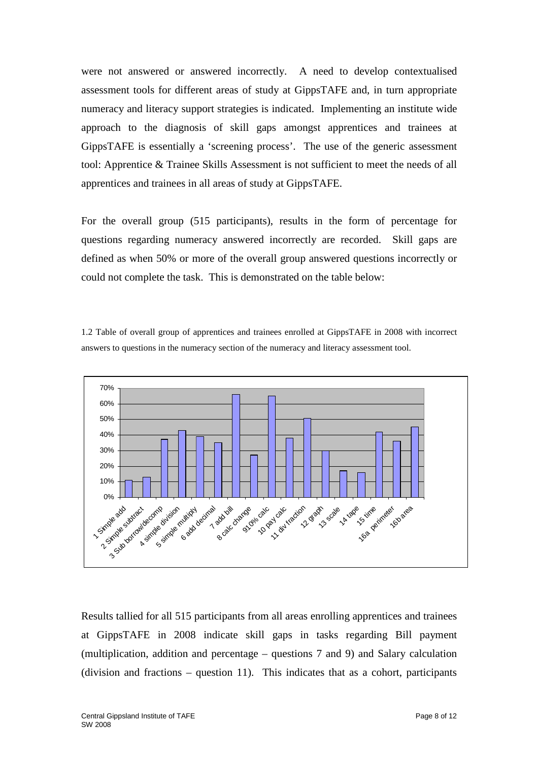were not answered or answered incorrectly. A need to develop contextualised assessment tools for different areas of study at GippsTAFE and, in turn appropriate numeracy and literacy support strategies is indicated. Implementing an institute wide approach to the diagnosis of skill gaps amongst apprentices and trainees at GippsTAFE is essentially a 'screening process'. The use of the generic assessment tool: Apprentice & Trainee Skills Assessment is not sufficient to meet the needs of all apprentices and trainees in all areas of study at GippsTAFE.

For the overall group (515 participants), results in the form of percentage for questions regarding numeracy answered incorrectly are recorded. Skill gaps are defined as when 50% or more of the overall group answered questions incorrectly or could not complete the task. This is demonstrated on the table below:

1.2 Table of overall group of apprentices and trainees enrolled at GippsTAFE in 2008 with incorrect answers to questions in the numeracy section of the numeracy and literacy assessment tool.



Results tallied for all 515 participants from all areas enrolling apprentices and trainees at GippsTAFE in 2008 indicate skill gaps in tasks regarding Bill payment (multiplication, addition and percentage – questions 7 and 9) and Salary calculation (division and fractions – question 11). This indicates that as a cohort, participants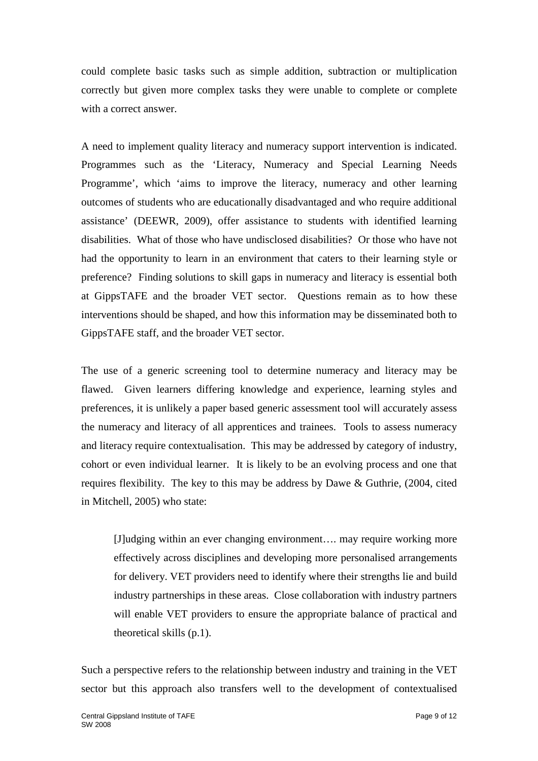could complete basic tasks such as simple addition, subtraction or multiplication correctly but given more complex tasks they were unable to complete or complete with a correct answer.

A need to implement quality literacy and numeracy support intervention is indicated. Programmes such as the 'Literacy, Numeracy and Special Learning Needs Programme', which 'aims to improve the literacy, numeracy and other learning outcomes of students who are educationally disadvantaged and who require additional assistance' (DEEWR, 2009), offer assistance to students with identified learning disabilities. What of those who have undisclosed disabilities? Or those who have not had the opportunity to learn in an environment that caters to their learning style or preference? Finding solutions to skill gaps in numeracy and literacy is essential both at GippsTAFE and the broader VET sector. Questions remain as to how these interventions should be shaped, and how this information may be disseminated both to GippsTAFE staff, and the broader VET sector.

The use of a generic screening tool to determine numeracy and literacy may be flawed. Given learners differing knowledge and experience, learning styles and preferences, it is unlikely a paper based generic assessment tool will accurately assess the numeracy and literacy of all apprentices and trainees. Tools to assess numeracy and literacy require contextualisation. This may be addressed by category of industry, cohort or even individual learner. It is likely to be an evolving process and one that requires flexibility. The key to this may be address by Dawe & Guthrie, (2004, cited in Mitchell, 2005) who state:

[J]udging within an ever changing environment…. may require working more effectively across disciplines and developing more personalised arrangements for delivery. VET providers need to identify where their strengths lie and build industry partnerships in these areas. Close collaboration with industry partners will enable VET providers to ensure the appropriate balance of practical and theoretical skills (p.1).

Such a perspective refers to the relationship between industry and training in the VET sector but this approach also transfers well to the development of contextualised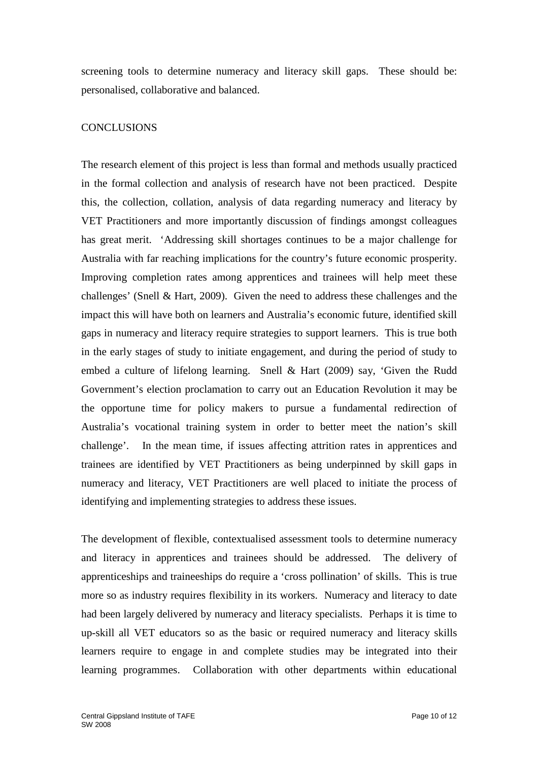screening tools to determine numeracy and literacy skill gaps. These should be: personalised, collaborative and balanced.

## **CONCLUSIONS**

The research element of this project is less than formal and methods usually practiced in the formal collection and analysis of research have not been practiced. Despite this, the collection, collation, analysis of data regarding numeracy and literacy by VET Practitioners and more importantly discussion of findings amongst colleagues has great merit. 'Addressing skill shortages continues to be a major challenge for Australia with far reaching implications for the country's future economic prosperity. Improving completion rates among apprentices and trainees will help meet these challenges' (Snell & Hart, 2009). Given the need to address these challenges and the impact this will have both on learners and Australia's economic future, identified skill gaps in numeracy and literacy require strategies to support learners. This is true both in the early stages of study to initiate engagement, and during the period of study to embed a culture of lifelong learning. Snell & Hart (2009) say, 'Given the Rudd Government's election proclamation to carry out an Education Revolution it may be the opportune time for policy makers to pursue a fundamental redirection of Australia's vocational training system in order to better meet the nation's skill challenge'. In the mean time, if issues affecting attrition rates in apprentices and trainees are identified by VET Practitioners as being underpinned by skill gaps in numeracy and literacy, VET Practitioners are well placed to initiate the process of identifying and implementing strategies to address these issues.

The development of flexible, contextualised assessment tools to determine numeracy and literacy in apprentices and trainees should be addressed. The delivery of apprenticeships and traineeships do require a 'cross pollination' of skills. This is true more so as industry requires flexibility in its workers. Numeracy and literacy to date had been largely delivered by numeracy and literacy specialists. Perhaps it is time to up-skill all VET educators so as the basic or required numeracy and literacy skills learners require to engage in and complete studies may be integrated into their learning programmes. Collaboration with other departments within educational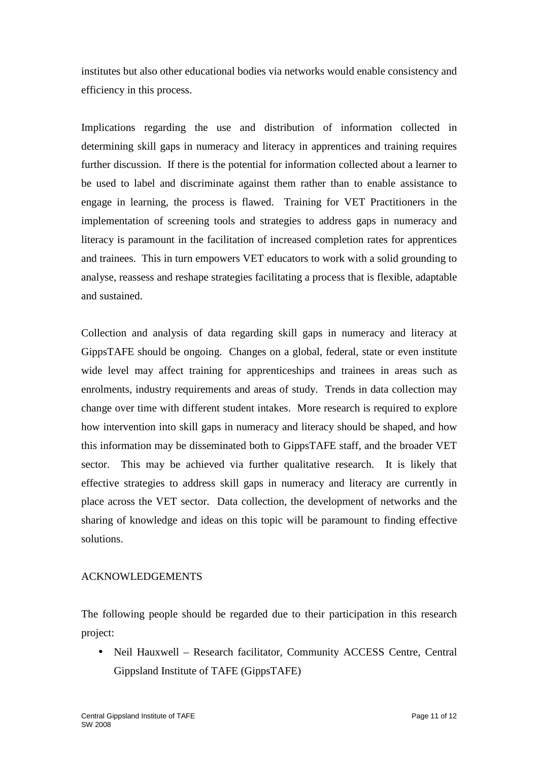institutes but also other educational bodies via networks would enable consistency and efficiency in this process.

Implications regarding the use and distribution of information collected in determining skill gaps in numeracy and literacy in apprentices and training requires further discussion. If there is the potential for information collected about a learner to be used to label and discriminate against them rather than to enable assistance to engage in learning, the process is flawed. Training for VET Practitioners in the implementation of screening tools and strategies to address gaps in numeracy and literacy is paramount in the facilitation of increased completion rates for apprentices and trainees. This in turn empowers VET educators to work with a solid grounding to analyse, reassess and reshape strategies facilitating a process that is flexible, adaptable and sustained.

Collection and analysis of data regarding skill gaps in numeracy and literacy at GippsTAFE should be ongoing. Changes on a global, federal, state or even institute wide level may affect training for apprenticeships and trainees in areas such as enrolments, industry requirements and areas of study. Trends in data collection may change over time with different student intakes. More research is required to explore how intervention into skill gaps in numeracy and literacy should be shaped, and how this information may be disseminated both to GippsTAFE staff, and the broader VET sector. This may be achieved via further qualitative research. It is likely that effective strategies to address skill gaps in numeracy and literacy are currently in place across the VET sector. Data collection, the development of networks and the sharing of knowledge and ideas on this topic will be paramount to finding effective solutions.

## ACKNOWLEDGEMENTS

The following people should be regarded due to their participation in this research project:

• Neil Hauxwell – Research facilitator, Community ACCESS Centre, Central Gippsland Institute of TAFE (GippsTAFE)